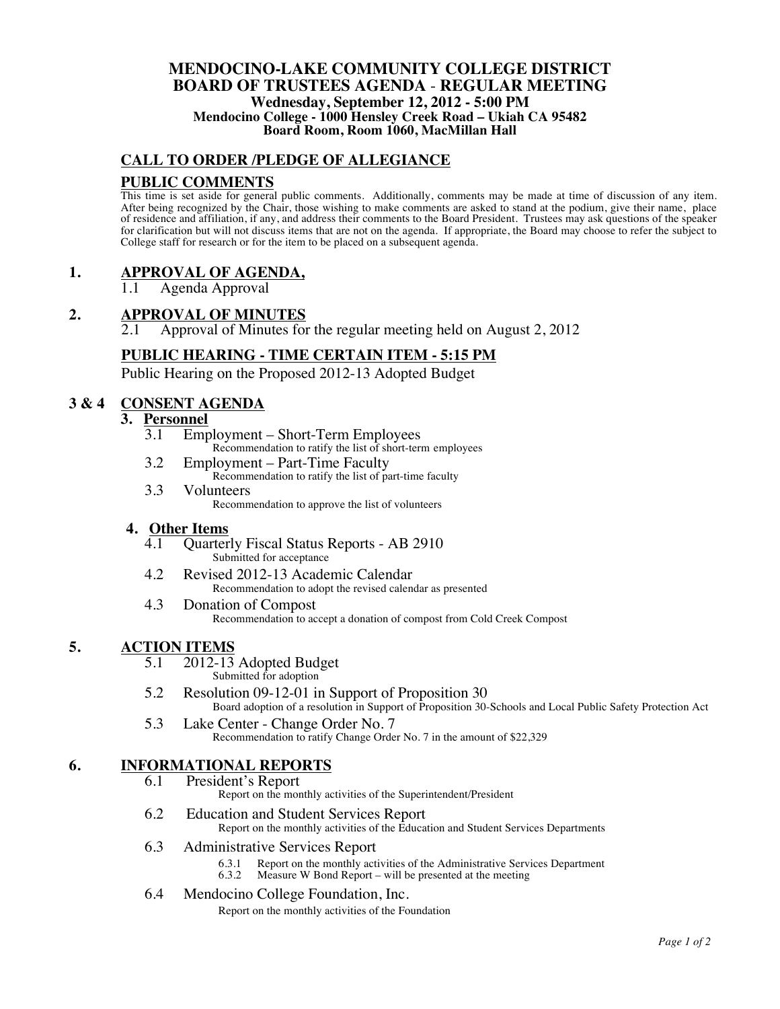### **MENDOCINO-LAKE COMMUNITY COLLEGE DISTRICT BOARD OF TRUSTEES AGENDA** - **REGULAR MEETING Wednesday, September 12, 2012 - 5:00 PM Mendocino College - 1000 Hensley Creek Road – Ukiah CA 95482 Board Room, Room 1060, MacMillan Hall**

## **CALL TO ORDER /PLEDGE OF ALLEGIANCE**

### **PUBLIC COMMENTS**

This time is set aside for general public comments. Additionally, comments may be made at time of discussion of any item. After being recognized by the Chair, those wishing to make comments are asked to stand at the podium, give their name, place of residence and affiliation, if any, and address their comments to the Board President. Trustees may ask questions of the speaker for clarification but will not discuss items that are not on the agenda. If appropriate, the Board may choose to refer the subject to College staff for research or for the item to be placed on a subsequent agenda.

## **1. APPROVAL OF AGENDA,**

1.1 Agenda Approval

# 2. **APPROVAL OF MINUTES**<br>2.1 Approval of Minutes fo

2.1 Approval of Minutes for the regular meeting held on August 2, 2012

### **PUBLIC HEARING - TIME CERTAIN ITEM - 5:15 PM**

Public Hearing on the Proposed 2012-13 Adopted Budget

## **3 & 4 CONSENT AGENDA**

### **3. Personnel**

- 3.1 Employment Short-Term Employees Recommendation to ratify the list of short-term employees
- 3.2 Employment Part-Time Faculty Recommendation to ratify the list of part-time faculty
- 3.3 Volunteers Recommendation to approve the list of volunteers

## **4. Other Items**

- 4.1 Quarterly Fiscal Status Reports AB 2910 Submitted for acceptance
- 4.2 Revised 2012-13 Academic Calendar Recommendation to adopt the revised calendar as presented
- 4.3 Donation of Compost Recommendation to accept a donation of compost from Cold Creek Compost

# **5.** ACTION ITEMS<br>5.1 2012-13 Adopted Budget

- Submitted for adoption
- 5.2 Resolution 09-12-01 in Support of Proposition 30 Board adoption of a resolution in Support of Proposition 30-Schools and Local Public Safety Protection Act
- 5.3 Lake Center Change Order No. 7 Recommendation to ratify Change Order No. 7 in the amount of \$22,329

# **6. INFORMATIONAL REPORTS**

President's Report

Report on the monthly activities of the Superintendent/President

- 6.2 Education and Student Services Report Report on the monthly activities of the Education and Student Services Departments
- 6.3 Administrative Services Report
	- 6.3.1 Report on the monthly activities of the Administrative Services Department 6.3.2 Measure W Bond Report will be presented at the meeting
		- Measure W Bond Report will be presented at the meeting

#### 6.4 Mendocino College Foundation, Inc.

Report on the monthly activities of the Foundation